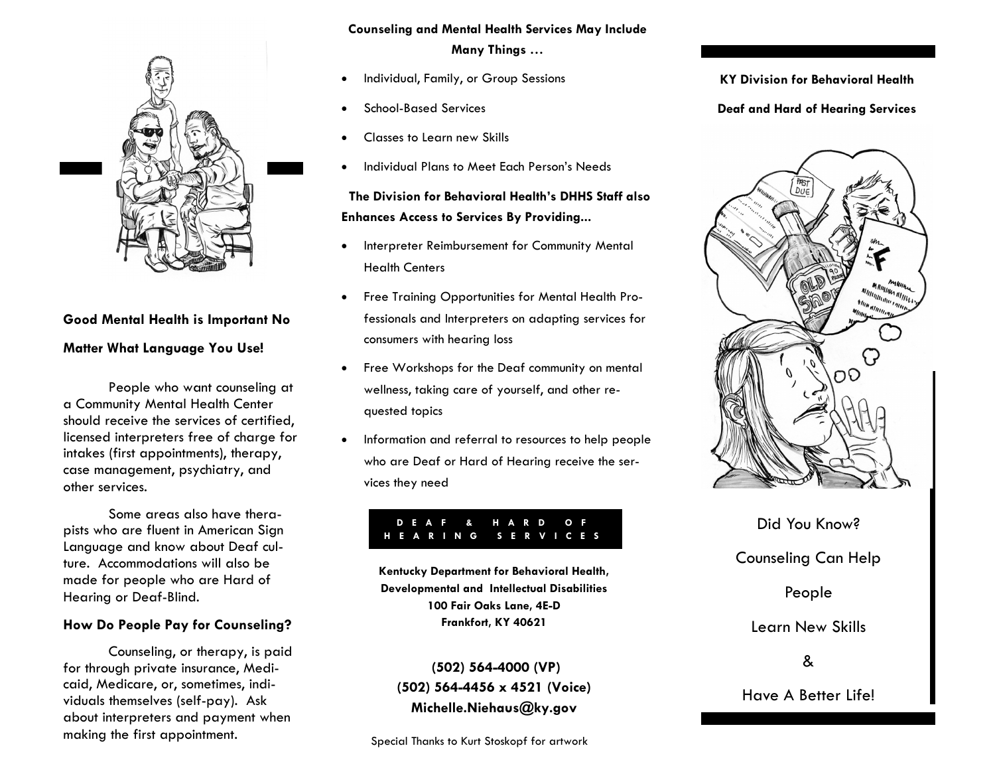

## **Good Mental Health is Important No Matter What Language You Use!**

People who want counseling at a Community Mental Health Center should receive the services of certified, licensed interpreters free of charge for intakes (first appointments), therapy, case management, psychiatry, and other services.

Some areas also have therapists who are fluent in American Sign Language and know about Deaf culture. Accommodations will also be made for people who are Hard of Hearing or Deaf-Blind.

#### **How Do People Pay for Counseling?**

Counseling, or therapy, is paid for through private insurance, Medicaid, Medicare, or, sometimes, individuals themselves (self-pay). Ask about interpreters and payment when making the first appointment.

#### **Counseling and Mental Health Services May Include**

**Many Things …**

- Individual, Family, or Group Sessions
- School-Based Services
- Classes to Learn new Skills
- Individual Plans to Meet Each Person's Needs

 **The Division for Behavioral Health's DHHS Staff also Enhances Access to Services By Providing...**

- Interpreter Reimbursement for Community Mental Health Centers
- Free Training Opportunities for Mental Health Professionals and Interpreters on adapting services for consumers with hearing loss
- Free Workshops for the Deaf community on mental wellness, taking care of yourself, and other requested topics
- Information and referral to resources to help people who are Deaf or Hard of Hearing receive the services they need

#### **D E A F & H A R D O F H E A R I N G S E R V I C E S**

**Kentucky Department for Behavioral Health, Developmental and Intellectual Disabilities 100 Fair Oaks Lane, 4E-D Frankfort, KY 40621**

**(502) 564-4000 (VP) (502) 564-4456 x 4521 (Voice) Michelle.Niehaus@ky.gov**

Special Thanks to Kurt Stoskopf for artwork

**KY Division for Behavioral Health**

**Deaf and Hard of Hearing Services**



Did You Know? Counseling Can Help People Learn New Skills &

Have A Better Life!